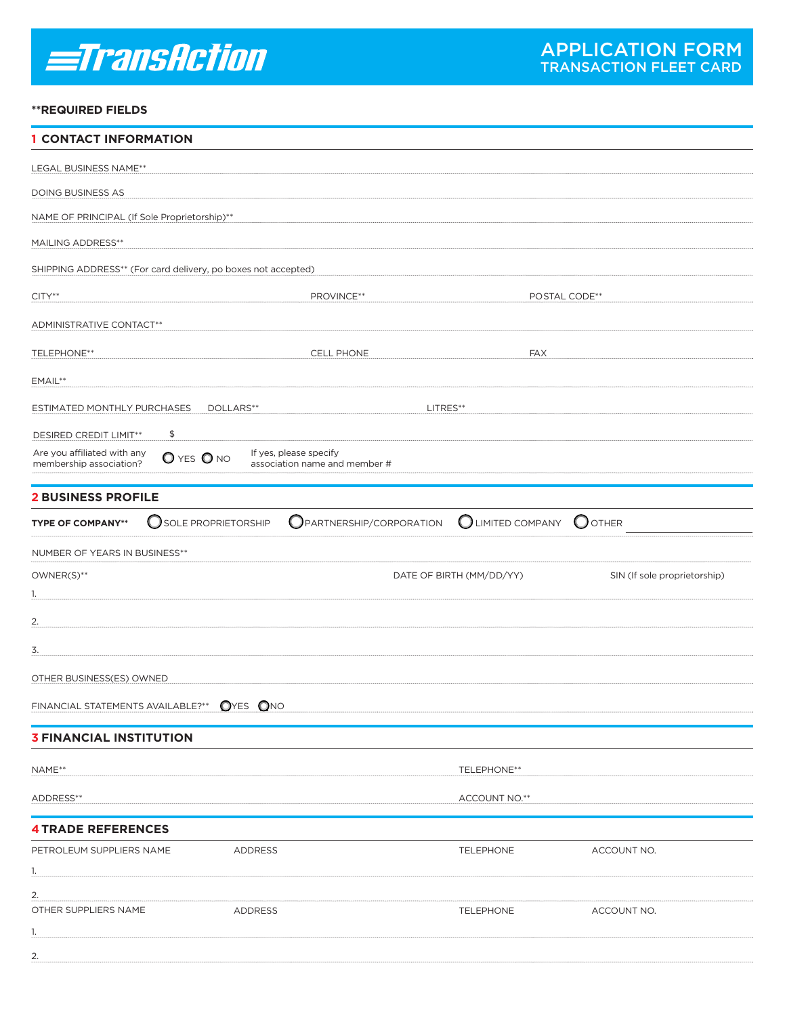# *<u>=TransAction</u>*

# **\*\*REQUIRED FIELDS**

| <b>1 CONTACT INFORMATION</b>                                  |                          |                               |                                    |                   |                              |  |
|---------------------------------------------------------------|--------------------------|-------------------------------|------------------------------------|-------------------|------------------------------|--|
| LEGAL BUSINESS NAME**                                         |                          |                               |                                    |                   |                              |  |
| DOING BUSINESS AS                                             |                          |                               |                                    |                   |                              |  |
| NAME OF PRINCIPAL (If Sole Proprietorship)**                  |                          |                               |                                    |                   |                              |  |
| <b>MAILING ADDRESS**</b>                                      |                          |                               |                                    |                   |                              |  |
| SHIPPING ADDRESS** (For card delivery, po boxes not accepted) |                          |                               |                                    |                   |                              |  |
| $CITY**$                                                      |                          | PROVINCE**                    |                                    |                   | POSTAL CODE**                |  |
| ADMINISTRATIVE CONTACT**                                      |                          |                               |                                    |                   |                              |  |
| <b>TELEPHONE**</b>                                            |                          | <b>CELL PHONE</b>             |                                    | <b>FAX</b>        |                              |  |
| EMAIL**                                                       |                          |                               |                                    |                   |                              |  |
| ESTIMATED MONTHLY PURCHASES                                   | DOLLARS**                |                               | LITRES**                           |                   |                              |  |
|                                                               | \$                       |                               |                                    |                   |                              |  |
| DESIRED CREDIT LIMIT**<br>Are you affiliated with any         | O YES O NO               | If yes, please specify        |                                    |                   |                              |  |
| membership association?                                       |                          | association name and member # |                                    |                   |                              |  |
| <b>2 BUSINESS PROFILE</b>                                     |                          |                               |                                    |                   |                              |  |
| <b>TYPE OF COMPANY**</b>                                      | O<br>SOLE PROPRIETORSHIP |                               | $\bigcirc$ PARTNERSHIP/CORPORATION | C LIMITED COMPANY | $\bigcirc$ other             |  |
| NUMBER OF YEARS IN BUSINESS**                                 |                          |                               |                                    |                   |                              |  |
| OWNER(S)**                                                    |                          |                               | DATE OF BIRTH (MM/DD/YY)           |                   | SIN (If sole proprietorship) |  |
| 1.                                                            |                          |                               |                                    |                   |                              |  |
| 2.                                                            |                          |                               |                                    |                   |                              |  |
| 3.                                                            |                          |                               |                                    |                   |                              |  |
| OTHER BUSINESS(ES) OWNED                                      |                          |                               |                                    |                   |                              |  |
| FINANCIAL STATEMENTS AVAILABLE?** OYES ONO                    |                          |                               |                                    |                   |                              |  |
| <b>3 FINANCIAL INSTITUTION</b>                                |                          |                               |                                    |                   |                              |  |
|                                                               |                          |                               |                                    |                   |                              |  |
| NAME**                                                        |                          |                               |                                    | TELEPHONE**       |                              |  |
| ADDRESS**                                                     |                          |                               |                                    | ACCOUNT NO.**     |                              |  |
| <b>4 TRADE REFERENCES</b>                                     |                          |                               |                                    |                   |                              |  |
| PETROLEUM SUPPLIERS NAME                                      |                          | ADDRESS                       |                                    | TELEPHONE         | ACCOUNT NO.                  |  |
| 1.                                                            |                          |                               |                                    |                   |                              |  |
| 2.<br>OTHER SUPPLIERS NAME                                    |                          | ADDRESS                       |                                    | <b>TELEPHONE</b>  | ACCOUNT NO.                  |  |
| 1.                                                            |                          |                               |                                    |                   |                              |  |
| 2.                                                            |                          |                               |                                    |                   |                              |  |
|                                                               |                          |                               |                                    |                   |                              |  |